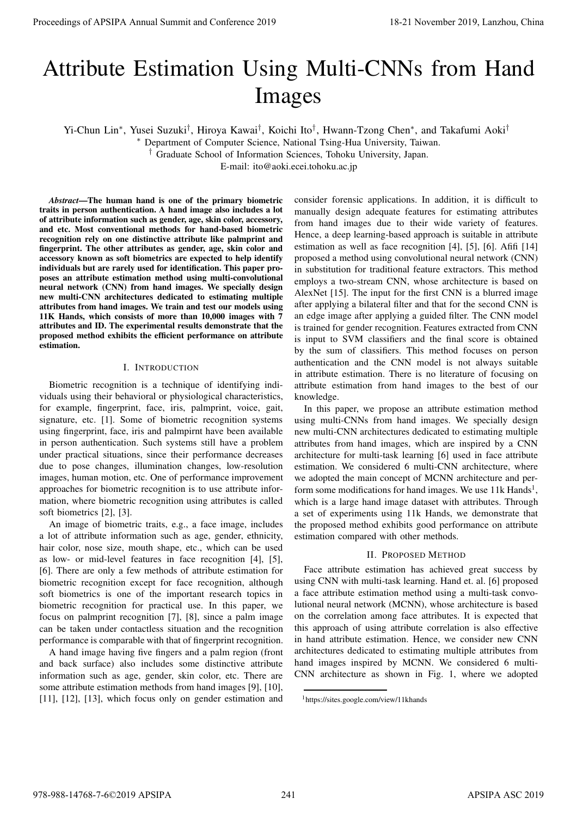# Attribute Estimation Using Multi-CNNs from Hand Images

Yi-Chun Lin∗, Yusei Suzuki†, Hiroya Kawai†, Koichi Ito†, Hwann-Tzong Chen∗, and Takafumi Aoki†

∗ Department of Computer Science, National Tsing-Hua University, Taiwan.

† Graduate School of Information Sciences, Tohoku University, Japan.

E-mail: ito@aoki.ecei.tohoku.ac.jp

*Abstract*—The human hand is one of the primary biometric traits in person authentication. A hand image also includes a lot of attribute information such as gender, age, skin color, accessory, and etc. Most conventional methods for hand-based biometric recognition rely on one distinctive attribute like palmprint and fingerprint. The other attributes as gender, age, skin color and accessory known as soft biometrics are expected to help identify individuals but are rarely used for identification. This paper proposes an attribute estimation method using multi-convolutional neural network (CNN) from hand images. We specially design new multi-CNN architectures dedicated to estimating multiple attributes from hand images. We train and test our models using 11K Hands, which consists of more than 10,000 images with 7 attributes and ID. The experimental results demonstrate that the proposed method exhibits the efficient performance on attribute estimation.

## I. INTRODUCTION

Biometric recognition is a technique of identifying individuals using their behavioral or physiological characteristics, for example, fingerprint, face, iris, palmprint, voice, gait, signature, etc. [1]. Some of biometric recognition systems using fingerprint, face, iris and palmpirnt have been available in person authentication. Such systems still have a problem under practical situations, since their performance decreases due to pose changes, illumination changes, low-resolution images, human motion, etc. One of performance improvement approaches for biometric recognition is to use attribute information, where biometric recognition using attributes is called soft biometrics [2], [3].

An image of biometric traits, e.g., a face image, includes a lot of attribute information such as age, gender, ethnicity, hair color, nose size, mouth shape, etc., which can be used as low- or mid-level features in face recognition [4], [5], [6]. There are only a few methods of attribute estimation for biometric recognition except for face recognition, although soft biometrics is one of the important research topics in biometric recognition for practical use. In this paper, we focus on palmprint recognition [7], [8], since a palm image can be taken under contactless situation and the recognition performance is comparable with that of fingerprint recognition.

A hand image having five fingers and a palm region (front and back surface) also includes some distinctive attribute information such as age, gender, skin color, etc. There are some attribute estimation methods from hand images [9], [10], [11], [12], [13], which focus only on gender estimation and

consider forensic applications. In addition, it is difficult to manually design adequate features for estimating attributes from hand images due to their wide variety of features. Hence, a deep learning-based approach is suitable in attribute estimation as well as face recognition [4], [5], [6]. Afifi [14] proposed a method using convolutional neural network (CNN) in substitution for traditional feature extractors. This method employs a two-stream CNN, whose architecture is based on AlexNet [15]. The input for the first CNN is a blurred image after applying a bilateral filter and that for the second CNN is an edge image after applying a guided filter. The CNN model is trained for gender recognition. Features extracted from CNN is input to SVM classifiers and the final score is obtained by the sum of classifiers. This method focuses on person authentication and the CNN model is not always suitable in attribute estimation. There is no literature of focusing on attribute estimation from hand images to the best of our knowledge. Proceedings of APSIPA Annual Summit and Conference 2019<br>
Artif DUILE EStimation USing Multi-CNNS from Branch Astro<br>
1670 Multi-CNNS from Annual Summit and Conference 2019, Land and Conference 2019, Land and Conference 201

In this paper, we propose an attribute estimation method using multi-CNNs from hand images. We specially design new multi-CNN architectures dedicated to estimating multiple attributes from hand images, which are inspired by a CNN architecture for multi-task learning [6] used in face attribute estimation. We considered 6 multi-CNN architecture, where we adopted the main concept of MCNN architecture and perform some modifications for hand images. We use  $11k$  Hands<sup>1</sup>, which is a large hand image dataset with attributes. Through a set of experiments using 11k Hands, we demonstrate that the proposed method exhibits good performance on attribute estimation compared with other methods.

## II. PROPOSED METHOD

Face attribute estimation has achieved great success by using CNN with multi-task learning. Hand et. al. [6] proposed a face attribute estimation method using a multi-task convolutional neural network (MCNN), whose architecture is based on the correlation among face attributes. It is expected that this approach of using attribute correlation is also effective in hand attribute estimation. Hence, we consider new CNN architectures dedicated to estimating multiple attributes from hand images inspired by MCNN. We considered 6 multi-CNN architecture as shown in Fig. 1, where we adopted

<sup>1</sup>https://sites.google.com/view/11khands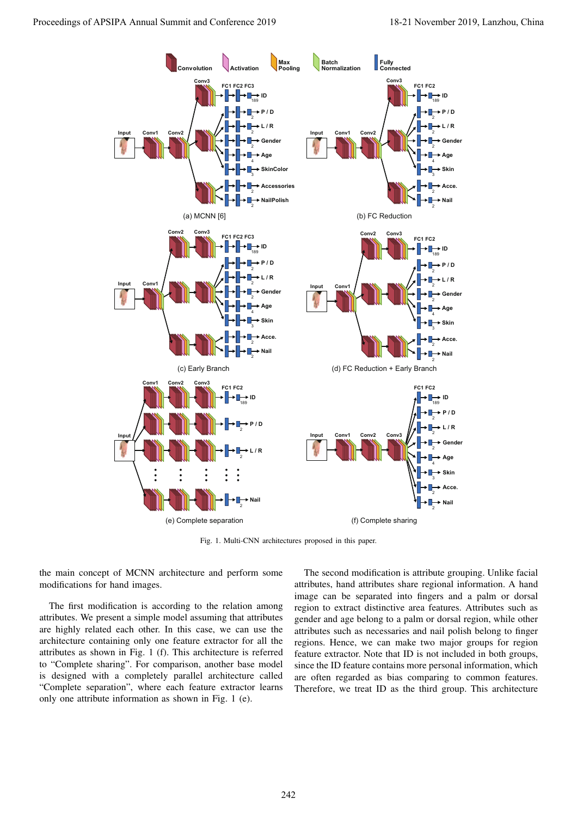

Fig. 1. Multi-CNN architectures proposed in this paper.

the main concept of MCNN architecture and perform some modifications for hand images.

The first modification is according to the relation among attributes. We present a simple model assuming that attributes are highly related each other. In this case, we can use the architecture containing only one feature extractor for all the attributes as shown in Fig. 1 (f). This architecture is referred to "Complete sharing". For comparison, another base model is designed with a completely parallel architecture called "Complete separation", where each feature extractor learns only one attribute information as shown in Fig. 1 (e).

The second modification is attribute grouping. Unlike facial attributes, hand attributes share regional information. A hand image can be separated into fingers and a palm or dorsal region to extract distinctive area features. Attributes such as gender and age belong to a palm or dorsal region, while other attributes such as necessaries and nail polish belong to finger regions. Hence, we can make two major groups for region feature extractor. Note that ID is not included in both groups, since the ID feature contains more personal information, which are often regarded as bias comparing to common features. Therefore, we treat ID as the third group. This architecture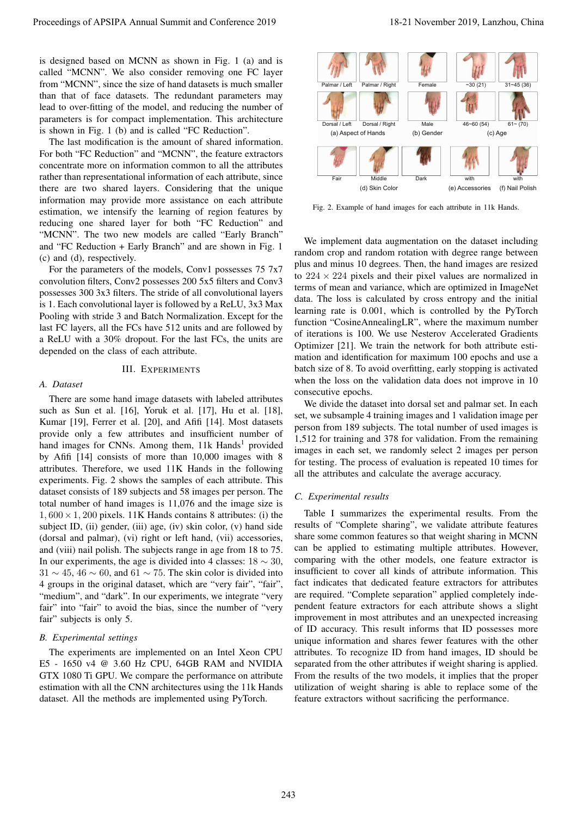is designed based on MCNN as shown in Fig. 1 (a) and is called "MCNN". We also consider removing one FC layer from "MCNN", since the size of hand datasets is much smaller than that of face datasets. The redundant parameters may lead to over-fitting of the model, and reducing the number of parameters is for compact implementation. This architecture is shown in Fig. 1 (b) and is called "FC Reduction".

The last modification is the amount of shared information. For both "FC Reduction" and "MCNN", the feature extractors concentrate more on information common to all the attributes rather than representational information of each attribute, since there are two shared layers. Considering that the unique information may provide more assistance on each attribute estimation, we intensify the learning of region features by reducing one shared layer for both "FC Reduction" and "MCNN". The two new models are called "Early Branch" and "FC Reduction + Early Branch" and are shown in Fig. 1 (c) and (d), respectively.

For the parameters of the models, Conv1 possesses 75 7x7 convolution filters, Conv2 possesses 200 5x5 filters and Conv3 possesses 300 3x3 filters. The stride of all convolutional layers is 1. Each convolutional layer is followed by a ReLU, 3x3 Max Pooling with stride 3 and Batch Normalization. Except for the last FC layers, all the FCs have 512 units and are followed by a ReLU with a 30% dropout. For the last FCs, the units are depended on the class of each attribute.

### III. EXPERIMENTS

#### *A. Dataset*

There are some hand image datasets with labeled attributes such as Sun et al. [16], Yoruk et al. [17], Hu et al. [18], Kumar [19], Ferrer et al. [20], and Afifi [14]. Most datasets provide only a few attributes and insufficient number of hand images for CNNs. Among them, 11k Hands<sup>1</sup> provided by Afifi [14] consists of more than 10,000 images with 8 attributes. Therefore, we used 11K Hands in the following experiments. Fig. 2 shows the samples of each attribute. This dataset consists of 189 subjects and 58 images per person. The total number of hand images is 11,076 and the image size is  $1,600 \times 1,200$  pixels. 11K Hands contains 8 attributes: (i) the subject ID, (ii) gender, (iii) age, (iv) skin color, (v) hand side (dorsal and palmar), (vi) right or left hand, (vii) accessories, and (viii) nail polish. The subjects range in age from 18 to 75. In our experiments, the age is divided into 4 classes:  $18 \sim 30$ ,  $31 \sim 45$ ,  $46 \sim 60$ , and  $61 \sim 75$ . The skin color is divided into 4 groups in the original dataset, which are "very fair", "fair", "medium", and "dark". In our experiments, we integrate "very fair" into "fair" to avoid the bias, since the number of "very fair" subjects is only 5. Proceeding of APSIPA Annual Summit and Conference 2019<br>
Lands 2005 Proceedings of APSIPA Annual Summit and Conference 2019<br>
Lands 2019 Proceedings of APSIPA Annual Summit and Conference 2019<br>
Lands of Conference 2019 and

## *B. Experimental settings*

The experiments are implemented on an Intel Xeon CPU E5 - 1650 v4 @ 3.60 Hz CPU, 64GB RAM and NVIDIA GTX 1080 Ti GPU. We compare the performance on attribute estimation with all the CNN architectures using the 11k Hands dataset. All the methods are implemented using PyTorch.



Fig. 2. Example of hand images for each attribute in 11k Hands.

We implement data augmentation on the dataset including random crop and random rotation with degree range between plus and minus 10 degrees. Then, the hand images are resized to  $224 \times 224$  pixels and their pixel values are normalized in terms of mean and variance, which are optimized in ImageNet data. The loss is calculated by cross entropy and the initial learning rate is 0.001, which is controlled by the PyTorch function "CosineAnnealingLR", where the maximum number of iterations is 100. We use Nesterov Accelerated Gradients Optimizer [21]. We train the network for both attribute estimation and identification for maximum 100 epochs and use a batch size of 8. To avoid overfitting, early stopping is activated when the loss on the validation data does not improve in 10 consecutive epochs.

We divide the dataset into dorsal set and palmar set. In each set, we subsample 4 training images and 1 validation image per person from 189 subjects. The total number of used images is 1,512 for training and 378 for validation. From the remaining images in each set, we randomly select 2 images per person for testing. The process of evaluation is repeated 10 times for all the attributes and calculate the average accuracy.

## *C. Experimental results*

Table I summarizes the experimental results. From the results of "Complete sharing", we validate attribute features share some common features so that weight sharing in MCNN can be applied to estimating multiple attributes. However, comparing with the other models, one feature extractor is insufficient to cover all kinds of attribute information. This fact indicates that dedicated feature extractors for attributes are required. "Complete separation" applied completely independent feature extractors for each attribute shows a slight improvement in most attributes and an unexpected increasing of ID accuracy. This result informs that ID possesses more unique information and shares fewer features with the other attributes. To recognize ID from hand images, ID should be separated from the other attributes if weight sharing is applied. From the results of the two models, it implies that the proper utilization of weight sharing is able to replace some of the feature extractors without sacrificing the performance.